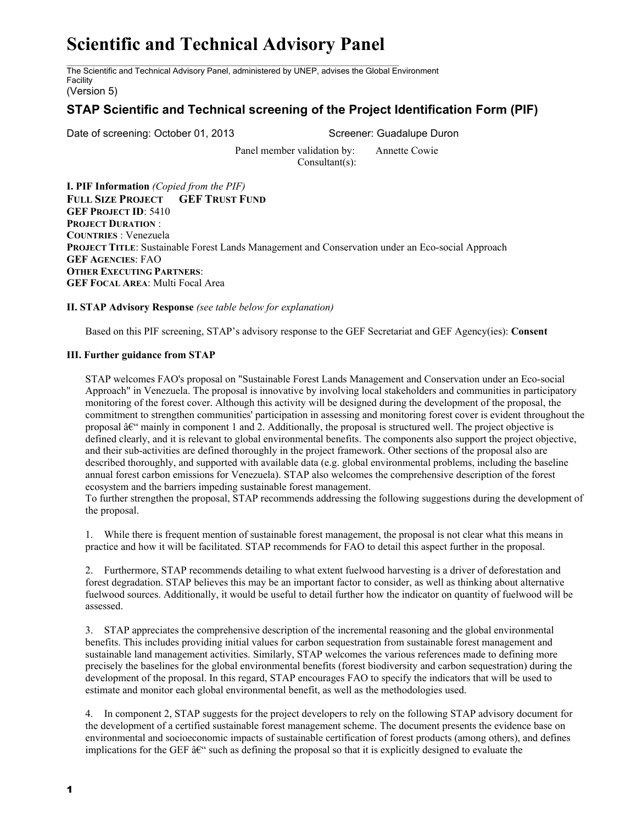## **Scientific and Technical Advisory Panel**

The Scientific and Technical Advisory Panel, administered by UNEP, advises the Global Environment Facility

(Version 5)

## **STAP Scientific and Technical screening of the Project Identification Form (PIF)**

Date of screening: October 01, 2013 Screener: Guadalupe Duron

Panel member validation by: Annette Cowie Consultant(s):

**I. PIF Information** *(Copied from the PIF)* **FULL SIZE PROJECT GEF TRUST FUND GEF PROJECT ID**: 5410 **PROJECT DURATION** : **COUNTRIES** : Venezuela **PROJECT TITLE**: Sustainable Forest Lands Management and Conservation under an Eco-social Approach **GEF AGENCIES**: FAO **OTHER EXECUTING PARTNERS**: **GEF FOCAL AREA**: Multi Focal Area

**II. STAP Advisory Response** *(see table below for explanation)*

Based on this PIF screening, STAP's advisory response to the GEF Secretariat and GEF Agency(ies): **Consent**

## **III. Further guidance from STAP**

STAP welcomes FAO's proposal on "Sustainable Forest Lands Management and Conservation under an Eco-social Approach" in Venezuela. The proposal is innovative by involving local stakeholders and communities in participatory monitoring of the forest cover. Although this activity will be designed during the development of the proposal, the commitment to strengthen communities' participation in assessing and monitoring forest cover is evident throughout the proposal  $\hat{a}\in\hat{C}$  mainly in component 1 and 2. Additionally, the proposal is structured well. The project objective is defined clearly, and it is relevant to global environmental benefits. The components also support the project objective, and their sub-activities are defined thoroughly in the project framework. Other sections of the proposal also are described thoroughly, and supported with available data (e.g. global environmental problems, including the baseline annual forest carbon emissions for Venezuela). STAP also welcomes the comprehensive description of the forest ecosystem and the barriers impeding sustainable forest management.

To further strengthen the proposal, STAP recommends addressing the following suggestions during the development of the proposal.

1. While there is frequent mention of sustainable forest management, the proposal is not clear what this means in practice and how it will be facilitated. STAP recommends for FAO to detail this aspect further in the proposal.

2. Furthermore, STAP recommends detailing to what extent fuelwood harvesting is a driver of deforestation and forest degradation. STAP believes this may be an important factor to consider, as well as thinking about alternative fuelwood sources. Additionally, it would be useful to detail further how the indicator on quantity of fuelwood will be assessed.

3. STAP appreciates the comprehensive description of the incremental reasoning and the global environmental benefits. This includes providing initial values for carbon sequestration from sustainable forest management and sustainable land management activities. Similarly, STAP welcomes the various references made to defining more precisely the baselines for the global environmental benefits (forest biodiversity and carbon sequestration) during the development of the proposal. In this regard, STAP encourages FAO to specify the indicators that will be used to estimate and monitor each global environmental benefit, as well as the methodologies used.

4. In component 2, STAP suggests for the project developers to rely on the following STAP advisory document for the development of a certified sustainable forest management scheme. The document presents the evidence base on environmental and socioeconomic impacts of sustainable certification of forest products (among others), and defines implications for the GEF  $\hat{a} \in \hat{c}$  such as defining the proposal so that it is explicitly designed to evaluate the